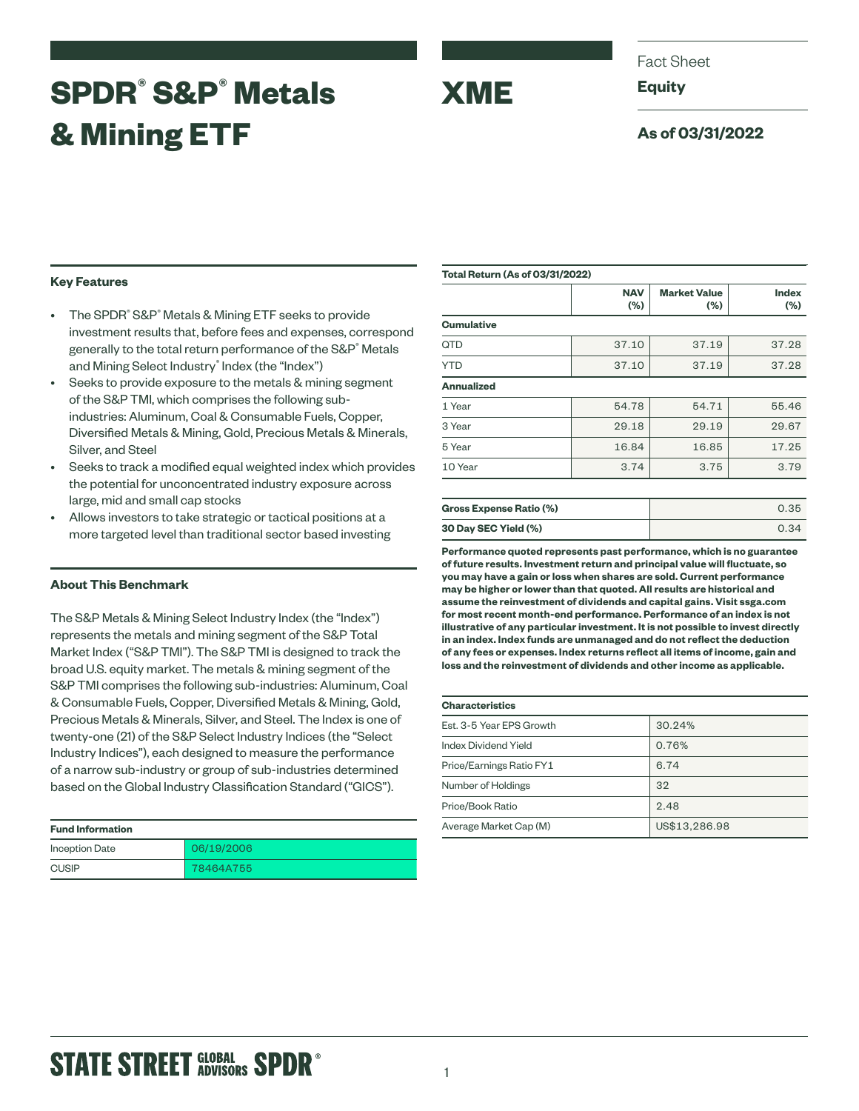## **SPDR® S&P® Metals & Mining ETF**



Fact Sheet

**Equity**

### **As of 03/31/2022**

### **Key Features**

- The SPDR<sup>®</sup> S&P® Metals & Mining ETF seeks to provide investment results that, before fees and expenses, correspond generally to the total return performance of the S&P<sup>®</sup> Metals and Mining Select Industry® Index (the "Index")
- Seeks to provide exposure to the metals & mining segment of the S&P TMI, which comprises the following subindustries: Aluminum, Coal & Consumable Fuels, Copper, Diversified Metals & Mining, Gold, Precious Metals & Minerals, Silver, and Steel
- Seeks to track a modified equal weighted index which provides the potential for unconcentrated industry exposure across large, mid and small cap stocks
- Allows investors to take strategic or tactical positions at a more targeted level than traditional sector based investing

### **About This Benchmark**

The S&P Metals & Mining Select Industry Index (the "Index") represents the metals and mining segment of the S&P Total Market Index ("S&P TMI"). The S&P TMI is designed to track the broad U.S. equity market. The metals & mining segment of the S&P TMI comprises the following sub-industries: Aluminum, Coal & Consumable Fuels, Copper, Diversified Metals & Mining, Gold, Precious Metals & Minerals, Silver, and Steel. The Index is one of twenty-one (21) of the S&P Select Industry Indices (the "Select Industry Indices"), each designed to measure the performance of a narrow sub-industry or group of sub-industries determined based on the Global Industry Classification Standard ("GICS").

| <b>Fund Information</b> |            |  |
|-------------------------|------------|--|
| Inception Date          | 06/19/2006 |  |
| <b>CUSIP</b>            | 78464A755  |  |

| <b>Total Return (As of 03/31/2022)</b> |                   |                               |                         |  |
|----------------------------------------|-------------------|-------------------------------|-------------------------|--|
|                                        | <b>NAV</b><br>(%) | <b>Market Value</b><br>$(\%)$ | <b>Index</b><br>$(\% )$ |  |
| <b>Cumulative</b>                      |                   |                               |                         |  |
| QTD                                    | 37.10             | 37.19                         | 37.28                   |  |
| <b>YTD</b>                             | 37.10             | 37.19                         | 37.28                   |  |
| <b>Annualized</b>                      |                   |                               |                         |  |
| 1 Year                                 | 54.78             | 54.71                         | 55.46                   |  |
| 3 Year                                 | 29.18             | 29.19                         | 29.67                   |  |
| 5 Year                                 | 16.84             | 16.85                         | 17.25                   |  |
| 10 Year                                | 3.74              | 3.75                          | 3.79                    |  |
|                                        |                   |                               |                         |  |
| Gross Expanse Ratio (%)                |                   |                               | 0.35                    |  |

| <b>Gross Expense Ratio (%)</b> | 0.35 |
|--------------------------------|------|
| 30 Day SEC Yield (%)           | 0.34 |

**Performance quoted represents past performance, which is no guarantee of future results. Investment return and principal value will fluctuate, so you may have a gain or loss when shares are sold. Current performance may be higher or lower than that quoted. All results are historical and assume the reinvestment of dividends and capital gains. Visit ssga.com for most recent month-end performance. Performance of an index is not illustrative of any particular investment. It is not possible to invest directly in an index. Index funds are unmanaged and do not reflect the deduction of any fees or expenses. Index returns reflect all items of income, gain and loss and the reinvestment of dividends and other income as applicable.**

| <b>Characteristics</b>   |        |  |  |  |
|--------------------------|--------|--|--|--|
| Est. 3-5 Year EPS Growth | 30.24% |  |  |  |
| Index Dividend Yield     | 0.76%  |  |  |  |
| Price/Earnings Ratio FY1 | 6.74   |  |  |  |
| Number of Holdings       | 32     |  |  |  |
|                          |        |  |  |  |

Price/Book Ratio 2.48

# Average Market Cap (M) US\$13,286.98